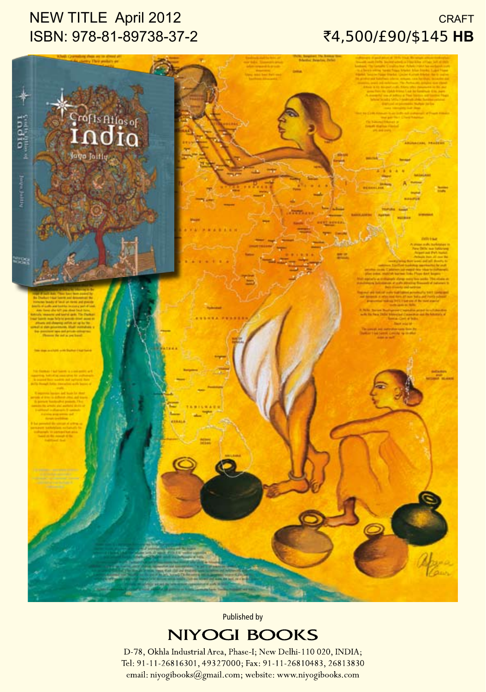# NEW TITLE April 2012 ISBN: 978-81-89738-37-2

### **CRAFT** `4,500/£90/\$145 **HB**



Published by

# **NIYOGI BOOKS**

D-78, Okhla Industrial Area, Phase-I; New Delhi-110 020, INDIA; Tel: 91-11-26816301, 49327000; Fax: 91-11-26810483, 26813830 email: niyogibooks@gmail.com; website: www.niyogibooks.com